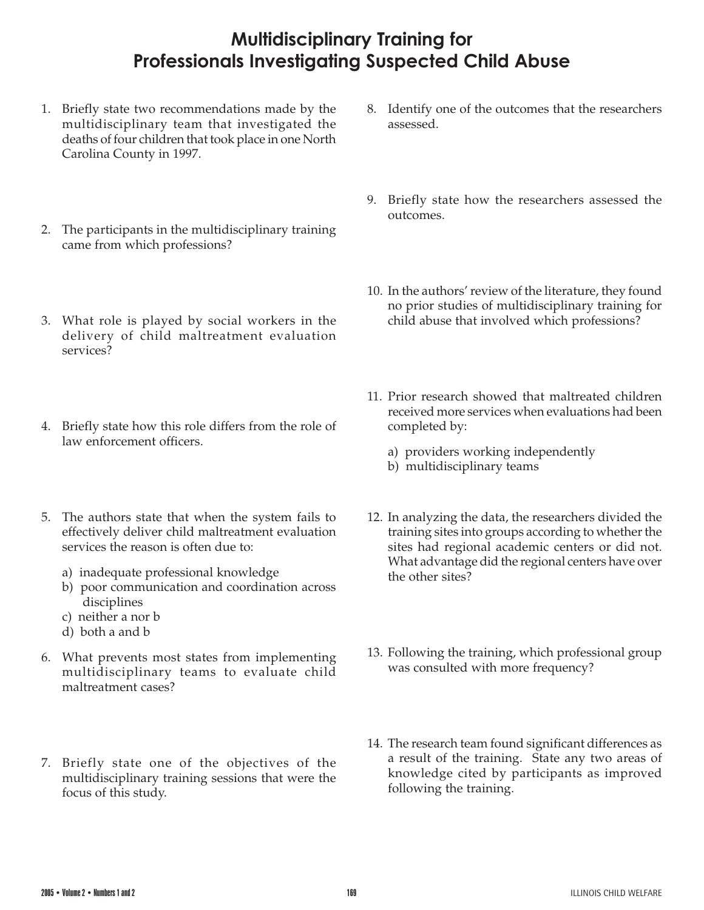## **Multidisciplinary Training for Professionals Investigating Suspected Child Abuse**

- 1. Briefly state two recommendations made by the multidisciplinary team that investigated the deaths of four children that took place in one North Carolina County in 1997.
- 2. The participants in the multidisciplinary training came from which professions?
- 3. What role is played by social workers in the delivery of child maltreatment evaluation services?
- 4. Briefly state how this role differs from the role of law enforcement officers.
- 5. The authors state that when the system fails to effectively deliver child maltreatment evaluation services the reason is often due to:
	- a) inadequate professional knowledge
	- b) poor communication and coordination across disciplines
	- c) neither a nor b
	- d) both a and b
- 6. What prevents most states from implementing multidisciplinary teams to evaluate child maltreatment cases?
- 7. Briefly state one of the objectives of the multidisciplinary training sessions that were the focus of this study.
- 8. Identify one of the outcomes that the researchers assessed.
- 9. Briefly state how the researchers assessed the outcomes.
- 10. In the authors' review of the literature, they found no prior studies of multidisciplinary training for child abuse that involved which professions?
- 11. Prior research showed that maltreated children received more services when evaluations had been completed by:
	- a) providers working independently
	- b) multidisciplinary teams
- 12. In analyzing the data, the researchers divided the training sites into groups according to whether the sites had regional academic centers or did not. What advantage did the regional centers have over the other sites?
- 13. Following the training, which professional group was consulted with more frequency?
- 14. The research team found significant differences as a result of the training. State any two areas of knowledge cited by participants as improved following the training.